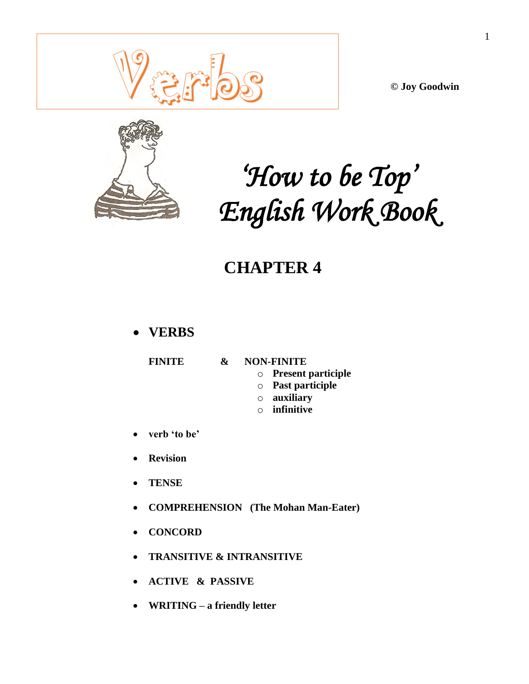**© Joy Goodwin**



# *'How to be Top' English Work Book*

## **CHAPTER 4**

## **VERBS**

## **FINITE & NON-FINITE**

- o **Present participle**
- o **Past participle**
- o **auxiliary**
- o **infinitive**
- **verb 'to be'**
- **Revision**
- **TENSE**
- **COMPREHENSION (The Mohan Man-Eater)**
- **CONCORD**
- **TRANSITIVE & INTRANSITIVE**
- **ACTIVE & PASSIVE**
- **WRITING a friendly letter**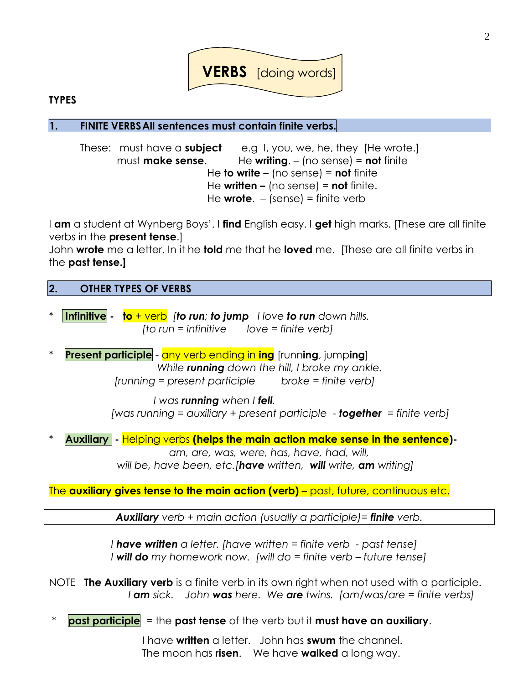

## **TYPES**

**1. FINITE VERBSAll sentences must contain finite verbs.**

These: must have a **subject** e.g I, you, we, he, they [He wrote.] must **make sense**. He **writing**. – (no sense) = **not** finite He **to write** – (no sense) = **not** finite He **written –** (no sense) = **not** finite. He **wrote**. – (sense) = finite verb

I **am** a student at Wynberg Boys'. I **find** English easy. I **get** high marks. [These are all finite verbs in the **present tense**.]

John **wrote** me a letter. In it he **told** me that he **loved** me. [These are all finite verbs in the **past tense.]**

## **2. OTHER TYPES OF VERBS**

\* **Infinitive - to** + verb *[to run; to jump I love to run down hills. [to run = infinitive love = finite verb]*

**Present participle** - any verb ending in **ing** [running, jumping] *While running down the hill, I broke my ankle. [running = present participle broke = finite verb]*

> *I was running when I fell. [was running = auxiliary + present participle - together = finite verb]*

**Auxiliary -** Helping verbs (helps the main action make sense in the sentence)-

*am, are, was, were, has, have, had, will, will be, have been, etc.[have written, will write, am writing]*

The **auxiliary gives tense to the main action (verb)** – past, future, continuous etc.

*Auxiliary verb + main action (usually a participle)= finite verb.*

*I have written a letter. [have written = finite verb - past tense] I* **will do** my homework now. [will do = finite verb – future tense]

NOTE **The Auxiliary verb** is a finite verb in its own right when not used with a participle.  *I am sick. John was here. We are twins. [am/was/are = finite verbs]*

**past participle** = the **past tense** of the verb but it **must have an auxiliary**.

I have **written** a letter. John has **swum** the channel. The moon has **risen**. We have **walked** a long way.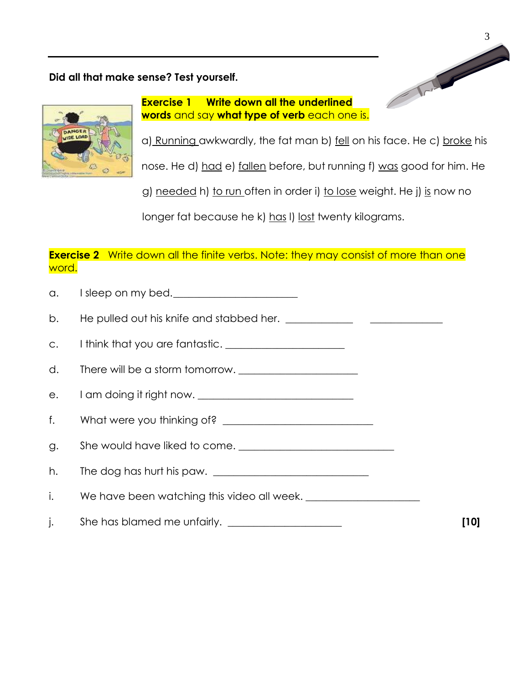## **Did all that make sense? Test yourself.**



**Exercise 1 Write down all the underlined words** and say **what type of verb** each one is.

a) Running awkwardly, the fat man b) fell on his face. He c) broke his

nose. He d) had e) fallen before, but running f) was good for him. He

g) needed h) to run often in order i) to lose weight. He j) is now no

longer fat because he k) has I) lost twenty kilograms.

## **Exercise 2** Write down all the finite verbs. Note: they may consist of more than one word.

| $\alpha$ .  | I sleep on my bed.                                                         |      |
|-------------|----------------------------------------------------------------------------|------|
|             |                                                                            |      |
|             | c. I think that you are fantastic. <u>________________________________</u> |      |
| d.          |                                                                            |      |
|             |                                                                            |      |
| $f_{\star}$ |                                                                            |      |
| g.          |                                                                            |      |
| h.          |                                                                            |      |
| i.          | We have been watching this video all week.                                 |      |
| j.          |                                                                            | [10] |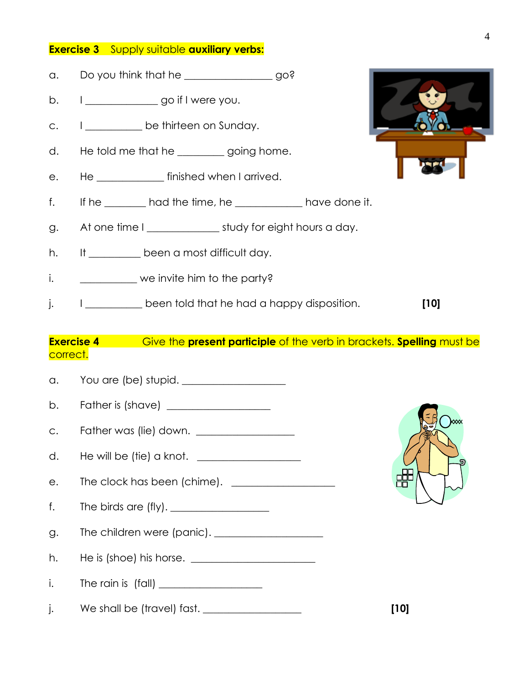## **Exercise 3** Supply suitable **auxiliary verbs:**

- a. Do you think that he \_\_\_\_\_\_\_\_\_\_\_\_\_\_\_\_\_ go?
- b.  $1 \quad \qquad$  go if I were you.
- c. I be thirteen on Sunday.
- d. He told me that he set all going home.
- e. He \_\_\_\_\_\_\_\_\_\_\_\_\_ finished when I arrived.
- f. If he \_\_\_\_\_\_\_\_ had the time, he \_\_\_\_\_\_\_\_\_\_\_\_\_ have done it.
- g. At one time I \_\_\_\_\_\_\_\_\_\_\_\_\_\_\_\_ study for eight hours a day.
- h. It been a most difficult day.
- i. we invite him to the party?
- j. I \_\_\_\_\_\_\_\_\_\_\_ been told that he had a happy disposition. **[10]**

## **Exercise 4** Give the **present participle** of the verb in brackets. **Spelling** must be correct.

e

a. You are (be) stupid. \_\_\_\_\_\_\_\_\_\_\_\_\_\_\_\_\_\_\_\_ b. Father is (shave)  $\qquad \qquad$ c. Father was (lie) down. \_\_\_\_\_\_\_\_\_\_\_\_\_\_\_\_\_\_\_ d. He will be (tie) a knot. e. The clock has been (chime). f. The birds are  $(fly)$ . g. The children were (panic). \_\_\_\_\_\_\_\_\_\_\_\_\_\_\_\_\_\_\_\_\_ h. He is (shoe) his horse. \_\_\_\_\_\_\_\_\_\_\_\_\_\_\_\_\_\_\_\_\_\_\_\_  $i.$  The rain is (fall)  $\qquad \qquad$ j. We shall be (travel) fast. \_\_\_\_\_\_\_\_\_\_\_\_\_\_\_\_\_\_\_ **[10]**

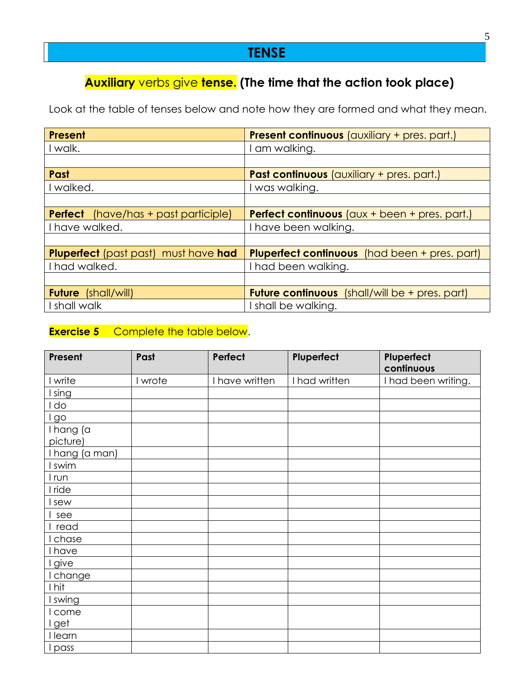## **TENSE**

## **Auxiliary** verbs give **tense. (The time that the action took place)**

Look at the table of tenses below and note how they are formed and what they mean.

| Present                                     | <b>Present continuous</b> (auxiliary + pres. part.)           |
|---------------------------------------------|---------------------------------------------------------------|
| I walk.                                     | I am walking.                                                 |
|                                             |                                                               |
| Past                                        | <b>Past continuous</b> (auxiliary + pres. part.)              |
| I walked.                                   | I was walking.                                                |
|                                             |                                                               |
| <b>Perfect</b> (have/has + past participle) | <b>Perfect continuous</b> ( $\alpha$ ux + been + pres. part.) |
| I have walked.                              | I have been walking.                                          |
|                                             |                                                               |
| <b>Pluperfect</b> (past past) must have had | <b>Pluperfect continuous</b> (had been + pres. part)          |
| I had walked.                               | I had been walking.                                           |
|                                             |                                                               |
| <b>Future</b> (shall/will)                  | <b>Future continuous</b> (shall/will be + pres. part)         |
| I shall walk                                | I shall be walking.                                           |

## **Exercise 5** Complete the table below.

| Present      | Past    | Perfect        | Pluperfect    | Pluperfect<br>continuous |
|--------------|---------|----------------|---------------|--------------------------|
| I write      | I wrote | I have written | I had written | I had been writing.      |
| sing         |         |                |               |                          |
| do           |         |                |               |                          |
| go           |         |                |               |                          |
| I hang (a    |         |                |               |                          |
| picture)     |         |                |               |                          |
| hang (a man) |         |                |               |                          |
| swim         |         |                |               |                          |
| l run        |         |                |               |                          |
| I ride       |         |                |               |                          |
| sew          |         |                |               |                          |
| see          |         |                |               |                          |
| read         |         |                |               |                          |
| chase        |         |                |               |                          |
| have         |         |                |               |                          |
| give         |         |                |               |                          |
| change       |         |                |               |                          |
| I hit        |         |                |               |                          |
| swing        |         |                |               |                          |
| come         |         |                |               |                          |
| get          |         |                |               |                          |
| learn        |         |                |               |                          |
| pass         |         |                |               |                          |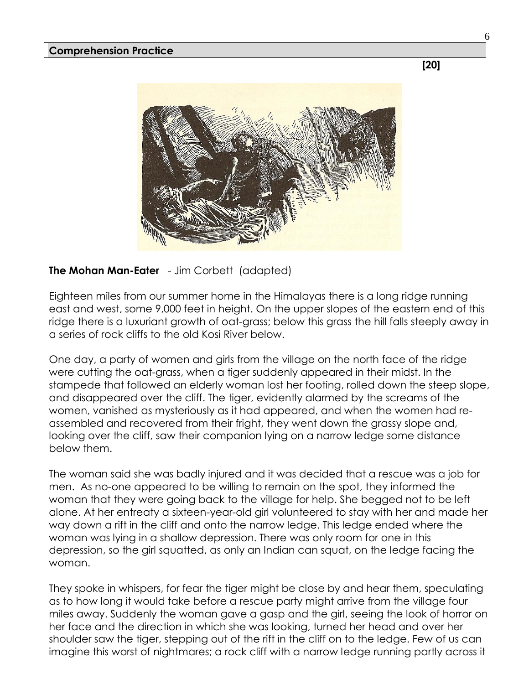**[20]**



**The Mohan Man-Eater** - Jim Corbett (adapted)

Eighteen miles from our summer home in the Himalayas there is a long ridge running east and west, some 9,000 feet in height. On the upper slopes of the eastern end of this ridge there is a luxuriant growth of oat-grass; below this grass the hill falls steeply away in a series of rock cliffs to the old Kosi River below.

One day, a party of women and girls from the village on the north face of the ridge were cutting the oat-grass, when a tiger suddenly appeared in their midst. In the stampede that followed an elderly woman lost her footing, rolled down the steep slope, and disappeared over the cliff. The tiger, evidently alarmed by the screams of the women, vanished as mysteriously as it had appeared, and when the women had reassembled and recovered from their fright, they went down the grassy slope and, looking over the cliff, saw their companion lying on a narrow ledge some distance below them.

The woman said she was badly injured and it was decided that a rescue was a job for men. As no-one appeared to be willing to remain on the spot, they informed the woman that they were going back to the village for help. She begged not to be left alone. At her entreaty a sixteen-year-old girl volunteered to stay with her and made her way down a rift in the cliff and onto the narrow ledge. This ledge ended where the woman was lying in a shallow depression. There was only room for one in this depression, so the girl squatted, as only an Indian can squat, on the ledge facing the woman.

They spoke in whispers, for fear the tiger might be close by and hear them, speculating as to how long it would take before a rescue party might arrive from the village four miles away. Suddenly the woman gave a gasp and the girl, seeing the look of horror on her face and the direction in which she was looking, turned her head and over her shoulder saw the tiger, stepping out of the rift in the cliff on to the ledge. Few of us can imagine this worst of nightmares; a rock cliff with a narrow ledge running partly across it

6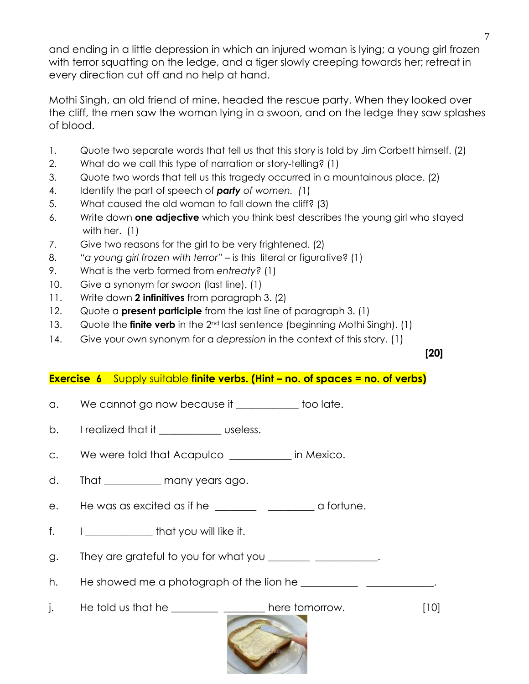and ending in a little depression in which an injured woman is lying; a young girl frozen with terror squatting on the ledge, and a tiger slowly creeping towards her; retreat in every direction cut off and no help at hand.

Mothi Singh, an old friend of mine, headed the rescue party. When they looked over the cliff, the men saw the woman lying in a swoon, and on the ledge they saw splashes of blood.

- 1. Quote two separate words that tell us that this story is told by Jim Corbett himself. (2)
- 2. What do we call this type of narration or story-telling? (1)
- 3. Quote two words that tell us this tragedy occurred in a mountainous place. (2)
- 4. Identify the part of speech of *party of women. (*1)
- 5. What caused the old woman to fall down the cliff? (3)
- 6. Write down **one adjective** which you think best describes the young girl who stayed with her. (1)
- 7. Give two reasons for the girl to be very frightened. (2)
- 8. "*a young girl frozen with terror"* is this literal or figurative? (1)
- 9. What is the verb formed from *entreaty?* (1)
- 10. Give a synonym for *swoon* (last line). (1)
- 11. Write down **2 infinitives** from paragraph 3. (2)
- 12. Quote a **present participle** from the last line of paragraph 3. (1)
- 13. Quote the **finite verb** in the 2nd last sentence (beginning Mothi Singh). (1)
- 14. Give your own synonym for a *depression* in the context of this story. (1)

**[20]**

## **Exercise 6** Supply suitable **finite verbs. (Hint – no. of spaces = no. of verbs)**

- a. We cannot go now because it \_\_\_\_\_\_\_\_\_\_ too late.
- b. I realized that it example useless.
- c. We were told that Acapulco \_\_\_\_\_\_\_\_\_\_\_\_ in Mexico.
- d. That many years ago.
- e. He was as excited as if he \_\_\_\_\_\_\_\_ \_\_\_\_\_\_\_\_ a fortune.
- f. I \_\_\_\_\_\_\_\_\_\_\_\_\_\_ that you will like it.

g. They are grateful to you for what you \_\_\_\_\_\_\_\_\_\_\_\_\_\_\_\_\_\_\_\_.

h. He showed me a photograph of the lion he **with the solution** 

j. He told us that he  $\frac{100}{200}$  here tomorrow. [10]

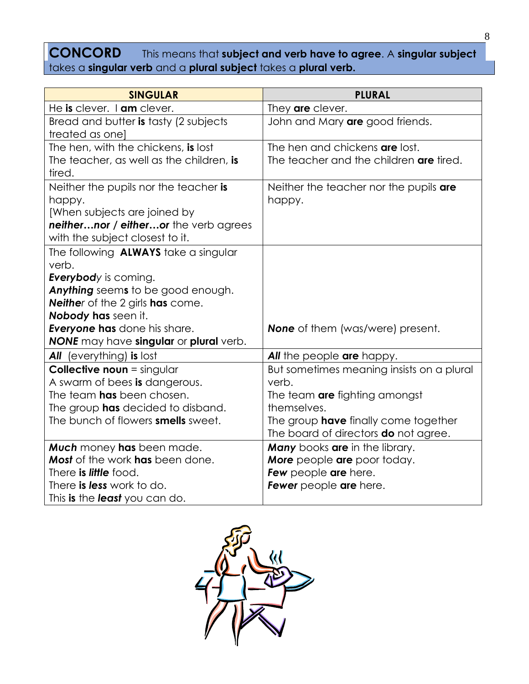## **CONCORD** This means that **subject and verb have to agree**. A **singular subject** takes a **singular verb** and a **plural subject** takes a **plural verb.**

| <b>SINGULAR</b>                                                       | <b>PLURAL</b>                                      |
|-----------------------------------------------------------------------|----------------------------------------------------|
| He is clever. I am clever.                                            | They are clever.                                   |
| Bread and butter is tasty (2 subjects<br>treated as one]              | John and Mary are good friends.                    |
| The hen, with the chickens, is lost                                   | The hen and chickens are lost.                     |
| The teacher, as well as the children, is<br>tired.                    | The teacher and the children are tired.            |
| Neither the pupils nor the teacher is                                 | Neither the teacher nor the pupils are             |
| happy.                                                                | happy.                                             |
| [When subjects are joined by                                          |                                                    |
| neithernor / eitheror the verb agrees                                 |                                                    |
| with the subject closest to it.                                       |                                                    |
| The following <b>ALWAYS</b> take a singular                           |                                                    |
| verb.                                                                 |                                                    |
| <b>Everybody</b> is coming.                                           |                                                    |
| Anything seems to be good enough.                                     |                                                    |
| <b>Neither</b> of the 2 girls <b>has</b> come.<br>Nobody has seen it. |                                                    |
| <b>Everyone has</b> done his share.                                   | <b>None</b> of them (was/were) present.            |
| NONE may have singular or plural verb.                                |                                                    |
| All (everything) is lost                                              | <b>All</b> the people are happy.                   |
|                                                                       |                                                    |
| <b>Collective noun</b> = singular<br>A swarm of bees is dangerous.    | But sometimes meaning insists on a plural<br>verb. |
| The team has been chosen.                                             | The team are fighting amongst                      |
| The group has decided to disband.                                     | themselves.                                        |
| The bunch of flowers smells sweet.                                    | The group <b>have</b> finally come together        |
|                                                                       | The board of directors <b>do</b> not agree.        |
| Much money has been made.                                             | <b>Many</b> books are in the library.              |
| <b>Most</b> of the work has been done.                                | More people are poor today.                        |
| There is <i>little</i> food.                                          | Few people are here.                               |
| There is less work to do.                                             | Fewer people are here.                             |
| This is the least you can do.                                         |                                                    |

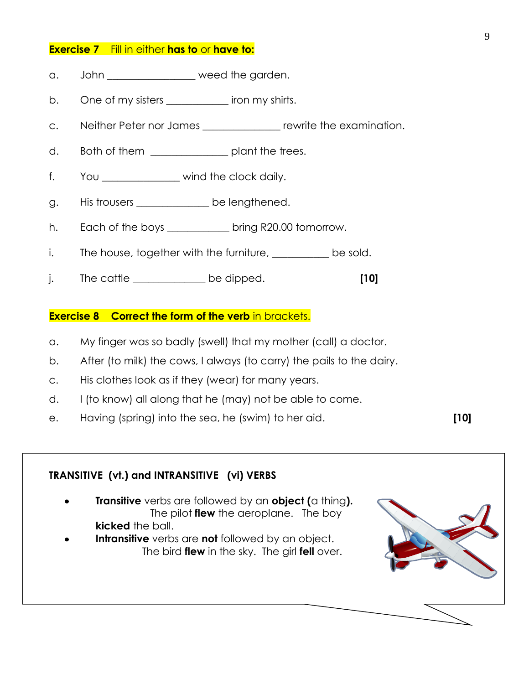#### **Exercise 7** Fill in either **has to** or **have to:**

- a. John \_\_\_\_\_\_\_\_\_\_\_\_\_ weed the garden.
- b. One of my sisters \_\_\_\_\_\_\_\_\_\_\_\_\_ iron my shirts.
- c. Neither Peter nor James \_\_\_\_\_\_\_\_\_\_\_\_\_\_\_ rewrite the examination.
- d. Both of them \_\_\_\_\_\_\_\_\_\_\_\_\_\_\_\_\_ plant the trees.
- f. You wind the clock daily.
- g. His trousers \_\_\_\_\_\_\_\_\_\_\_\_\_ be lengthened.
- h. Each of the boys \_\_\_\_\_\_\_\_\_\_\_ bring R20.00 tomorrow.
- i. The house, together with the furniture, <u>\_\_\_\_\_\_\_\_</u> be sold.
- j. The cattle \_\_\_\_\_\_\_\_\_\_\_\_\_\_ be dipped. **[10]**

#### **Exercise 8 Correct the form of the verb in brackets.**

- a. My finger was so badly (swell) that my mother (call) a doctor.
- b. After (to milk) the cows, I always (to carry) the pails to the dairy.
- c. His clothes look as if they (wear) for many years.
- d. I (to know) all along that he (may) not be able to come.
- e. Having (spring) into the sea, he (swim) to her aid. **[10]**

## **TRANSITIVE (vt.) and INTRANSITIVE (vi) VERBS Transitive** verbs are followed by an **object (**a thing**).**  The pilot **flew** the aeroplane. The boy **kicked** the ball. **Intransitive** verbs are **not** followed by an object. The bird **flew** in the sky. The girl **fell** over.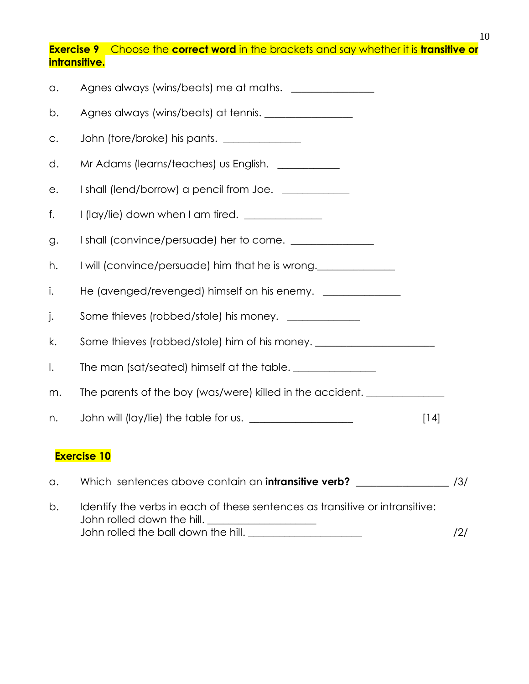**Exercise 9** Choose the **correct word** in the brackets and say whether it is **transitive or intransitive.**

| a.                 | Agnes always (wins/beats) me at maths.                                           |  |  |
|--------------------|----------------------------------------------------------------------------------|--|--|
| b.                 |                                                                                  |  |  |
| $\mathsf{C}.$      | John (tore/broke) his pants.                                                     |  |  |
| d.                 | Mr Adams (learns/teaches) us English. ____________                               |  |  |
| е.                 | I shall (lend/borrow) a pencil from Joe. ____________                            |  |  |
| f.                 | I (lay/lie) down when I am tired. ______________                                 |  |  |
| g.                 |                                                                                  |  |  |
| h.                 | I will (convince/persuade) him that he is wrong.                                 |  |  |
| i.                 |                                                                                  |  |  |
| j.                 | Some thieves (robbed/stole) his money. _____________                             |  |  |
| k.                 | Some thieves (robbed/stole) him of his money. __________________________________ |  |  |
| $\mathsf{l}$ .     | The man (sat/seated) himself at the table.                                       |  |  |
| m.                 | The parents of the boy (was/were) killed in the accident.                        |  |  |
| n.                 | $[14]$                                                                           |  |  |
| <b>Exercise 10</b> |                                                                                  |  |  |

## a. Which sentences above contain an **intransitive verb? \_\_\_\_\_\_\_\_\_\_\_\_\_\_\_\_\_\_** /3/ b. Identify the verbs in each of these sentences as transitive or intransitive:

John rolled down the hill. \_\_\_\_\_\_\_\_\_\_\_\_\_\_\_\_\_\_\_\_\_ John rolled the ball down the hill. \_\_\_\_\_\_\_\_\_\_\_\_\_\_\_\_\_\_\_\_\_\_ /2/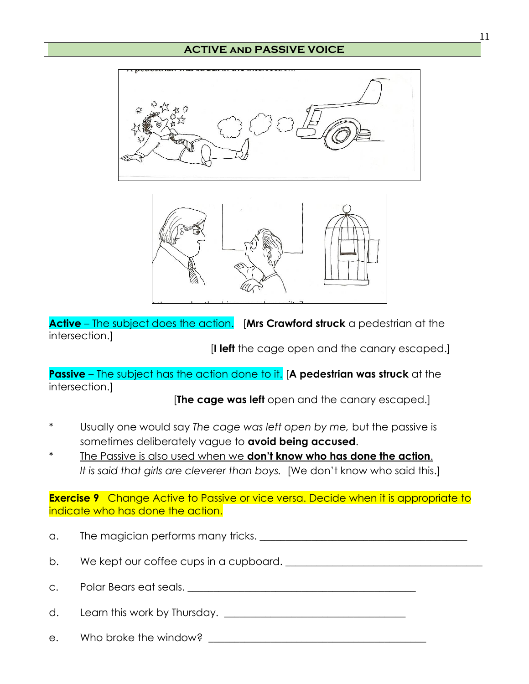## **ACTIVE and PASSIVE VOICE**





**Active** – The subject does the action. [**Mrs Crawford struck** a pedestrian at the intersection.]

[**I left** the cage open and the canary escaped.]

**Passive** – The subject has the action done to it. [**A pedestrian was struck** at the intersection.]

[**The cage was left** open and the canary escaped.]

- \* Usually one would say *The cage was left open by me,* but the passive is sometimes deliberately vague to **avoid being accused**.
- The Passive is also used when we **don't know who has done the action**. It is said that girls are cleverer than boys. [We don't know who said this.]

**Exercise 9** Change Active to Passive or vice versa. Decide when it is appropriate to indicate who has done the action.

| a. |                                        |
|----|----------------------------------------|
| b. | We kept our coffee cups in a cupboard. |
|    | c. Polar Bears eat seals.              |
|    |                                        |
|    | e. Who broke the window?               |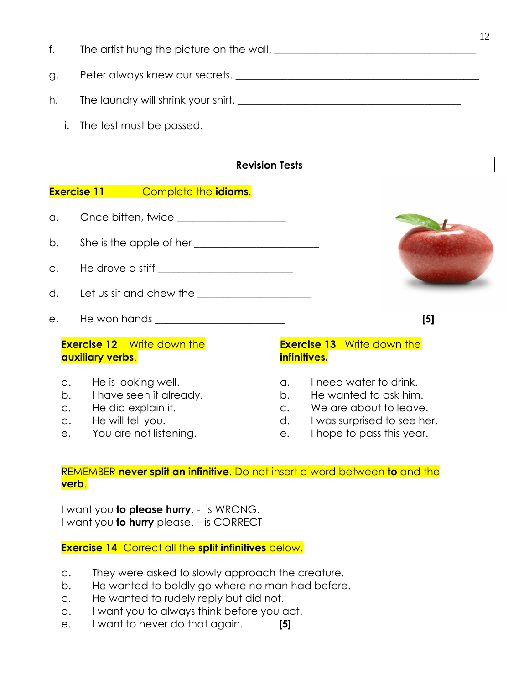- f. The artist hung the picture on the wall. \_\_\_\_\_\_\_\_\_\_\_\_\_\_\_\_\_\_\_\_\_\_\_\_\_\_\_\_\_\_\_\_\_\_\_\_\_\_\_
- g. Peter always knew our secrets. \_\_\_\_\_\_\_\_\_\_\_\_\_\_\_\_\_\_\_\_\_\_\_\_\_\_\_\_\_\_\_\_\_\_\_\_\_\_\_\_\_\_\_\_\_\_\_
- h. The laundry will shrink your shirt. \_\_\_\_\_\_\_\_\_\_\_\_\_\_\_\_\_\_\_\_\_\_\_\_\_\_\_\_\_\_\_\_\_\_\_\_\_\_\_\_\_\_\_
	- i. The test must be passed.  $\blacksquare$

## **Revision Tests**

## **Exercise 11** Complete the **idioms**.

- a. Once bitten, twice \_\_\_\_\_\_\_\_\_\_\_\_\_\_\_\_\_\_\_\_\_
- b. She is the apple of her
- c. He drove a stiff \_\_\_\_\_\_\_\_\_\_\_\_\_\_\_\_\_\_\_\_\_\_\_\_\_\_
- d. Let us sit and chew the \_\_\_\_\_\_\_\_\_\_\_\_\_\_\_\_\_\_\_\_\_\_
- e. He won hands \_\_\_\_\_\_\_\_\_\_\_\_\_\_\_\_\_\_\_\_\_\_\_\_\_ **[5]**

## **Exercise 12** Write down the **auxiliary verbs**.

- a. He is looking well.
- b. I have seen it already.
- c. He did explain it.
- d. He will tell you.
- e. You are not listening.

## **Exercise 13** Write down the **infinitives.**

- a. I need water to drink.
- b. He wanted to ask him.
- c. We are about to leave.
- d. I was surprised to see her.
- e. I hope to pass this year.

## REMEMBER **never split an infinitive**. Do not insert a word between **to** and the **verb**.

I want you **to please hurry**. - is WRONG. I want you **to hurry** please. – is CORRECT

## **Exercise 14** Correct all the **split infinitives** below.

- a. They were asked to slowly approach the creature.
- b. He wanted to boldly go where no man had before.
- c. He wanted to rudely reply but did not.
- d. I want you to always think before you act.
- e. I want to never do that again. **[5]**